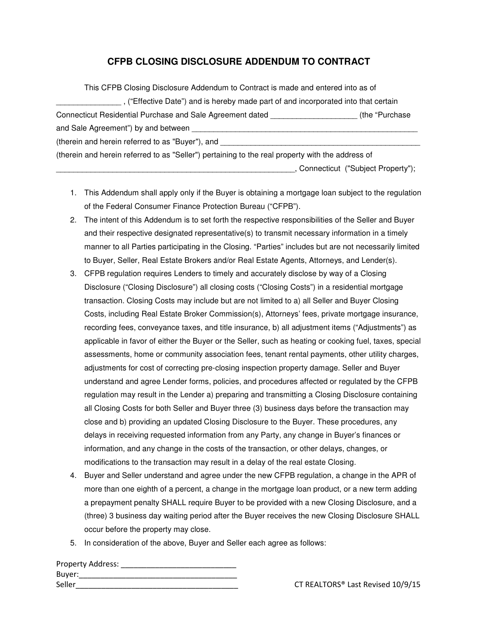## **CFPB CLOSING DISCLOSURE ADDENDUM TO CONTRACT**

| This CFPB Closing Disclosure Addendum to Contract is made and entered into as of                 |                                   |
|--------------------------------------------------------------------------------------------------|-----------------------------------|
| , ("Effective Date") and is hereby made part of and incorporated into that certain               |                                   |
| Connecticut Residential Purchase and Sale Agreement dated                                        | (the "Purchase)                   |
| and Sale Agreement") by and between                                                              |                                   |
| (therein and herein referred to as "Buyer"), and                                                 |                                   |
| (therein and herein referred to as "Seller") pertaining to the real property with the address of |                                   |
|                                                                                                  | Connecticut ("Subject Property"); |

- 1. This Addendum shall apply only if the Buyer is obtaining a mortgage loan subject to the regulation of the Federal Consumer Finance Protection Bureau ("CFPB").
- 2. The intent of this Addendum is to set forth the respective responsibilities of the Seller and Buyer and their respective designated representative(s) to transmit necessary information in a timely manner to all Parties participating in the Closing. "Parties" includes but are not necessarily limited to Buyer, Seller, Real Estate Brokers and/or Real Estate Agents, Attorneys, and Lender(s).
- 3. CFPB regulation requires Lenders to timely and accurately disclose by way of a Closing Disclosure ("Closing Disclosure") all closing costs ("Closing Costs") in a residential mortgage transaction. Closing Costs may include but are not limited to a) all Seller and Buyer Closing Costs, including Real Estate Broker Commission(s), Attorneys' fees, private mortgage insurance, recording fees, conveyance taxes, and title insurance, b) all adjustment items ("Adjustments") as applicable in favor of either the Buyer or the Seller, such as heating or cooking fuel, taxes, special assessments, home or community association fees, tenant rental payments, other utility charges, adjustments for cost of correcting pre-closing inspection property damage. Seller and Buyer understand and agree Lender forms, policies, and procedures affected or regulated by the CFPB regulation may result in the Lender a) preparing and transmitting a Closing Disclosure containing all Closing Costs for both Seller and Buyer three (3) business days before the transaction may close and b) providing an updated Closing Disclosure to the Buyer. These procedures, any delays in receiving requested information from any Party, any change in Buyer's finances or information, and any change in the costs of the transaction, or other delays, changes, or modifications to the transaction may result in a delay of the real estate Closing.
- 4. Buyer and Seller understand and agree under the new CFPB regulation, a change in the APR of more than one eighth of a percent, a change in the mortgage loan product, or a new term adding a prepayment penalty SHALL require Buyer to be provided with a new Closing Disclosure, and a (three) 3 business day waiting period after the Buyer receives the new Closing Disclosure SHALL occur before the property may close.
- 5. In consideration of the above, Buyer and Seller each agree as follows:

| Property Address: |  |
|-------------------|--|
| Buyer:            |  |
| Seller            |  |